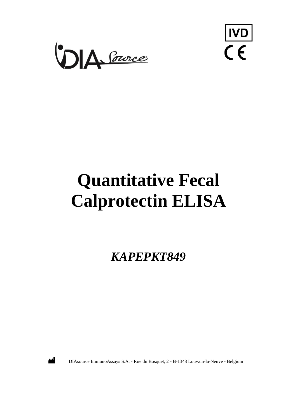



# **Quantitative Fecal Calprotectin ELISA**

*KAPEPKT849*



DIAsource ImmunoAssays S.A. - Rue du Bosquet, 2 - B-1348 Louvain-la-Neuve - Belgium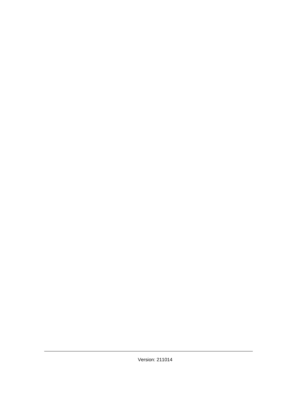Version: 211014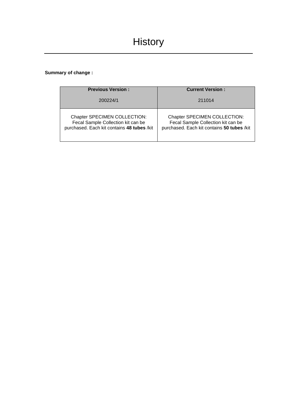## **Summary of change :**

| <b>Previous Version:</b>                   | <b>Current Version:</b>                    |
|--------------------------------------------|--------------------------------------------|
| 200224/1                                   | 211014                                     |
| Chapter SPECIMEN COLLECTION:               | Chapter SPECIMEN COLLECTION:               |
| Fecal Sample Collection kit can be         | Fecal Sample Collection kit can be         |
| purchased. Each kit contains 48 tubes /kit | purchased. Each kit contains 50 tubes /kit |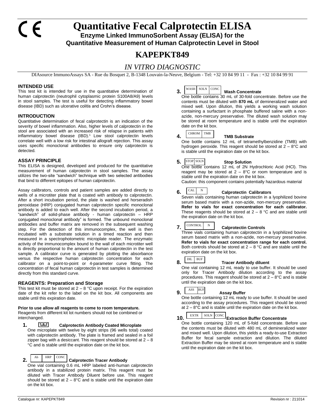## **Quantitative Fecal Calprotectin ELISA Enzyme Linked ImmunoSorbent Assay (ELISA) for the Quantitative Measurement of Human Calprotectin Level in Stool**

# **KAPEPKT849**

## *IN VITRO DIAGNOSTIC*

DIAsource ImmunoAssays SA - Rue du Bosquet 2, B-1348 Louvain-la-Neuve, Belgium - Tel: +32 10 84 99 11 - Fax : +32 10 84 99 91

#### **INTENDED USE**

This test kit is intended for use in the quantitative determination of human calprotectin (neutrophil cytoplasmic protein S100A8/A9) levels in stool samples. The test is useful for detecting inflammatory bowel disease (IBD) such as ulcerative colitis and Crohn's disease.

#### **INTRODUCTION**

Quantitative determination of fecal calprotectin is an indication of the severity of bowel inflammation. Also, higher levels of calprotectin in the stool are associated with an increased risk of relapse in patients with inflammatory bowel disease (IBD).<sup>1</sup> Low stool calprotectin levels correlate well with a low risk for intestinal allograft rejection. This assay uses specific monoclonal antibodies to ensure only calprotectin is detected.

#### **ASSAY PRINCIPLE**

This ELISA is designed, developed and produced for the quantitative measurement of human calprotectin in stool samples. The assay utilizes the two-site "sandwich" technique with two selected antibodies that bind to different epitopes of human calprotectin.

Assay calibrators, controls and patient samples are added directly to wells of a microtiter plate that is coated with antibody to calprotectin. After a short incubation period, the plate is washed and horseradish peroxidase (HRP) conjugated human calprotectin specific monoclonal antibody is added to each well. After the second incubation period, a "sandwich" of solid-phase antibody - human calprotectin – HRP conjugated monoclonal antibody" is formed. The unbound monoclonal antibodies and buffer matrix are removed in the subsequent washing step. For the detection of this immunocomplex, the well is then incubated with a substrate solution in a timed reaction and then measured in a spectrophotometric microplate reader. The enzymatic activity of the immunocomplex bound to the wall of each microtiter well is directly proportional to the amount of human calprotectin in the test sample. A calibrator curve is generated by plotting the absorbance versus the respective human calprotectin concentration for each calibrator on a point-to-point or 4-parameter curve fitting. The concentration of fecal human calprotectin in test samples is determined directly from this standard curve.

#### **REAGENTS: Preparation and Storage**

This test kit must be stored at  $2 - 8$  °C upon receipt. For the expiration date of the kit refer to the label on the kit box. All components are stable until this expiration date.

#### **Prior to use allow all reagents to come to room temperature.**

Reagents from different kit lot numbers should not be combined or interchanged.

**1. Calprotectin Antibody Coated Microplate**  One microplate with twelve by eight strips (96 wells total) coated with calprotectin antibody. The plate is framed and sealed in a foil zipper bag with a desiccant. This reagent should be stored at  $2 - 8$ °C and is stable until the expiration date on the kit box.

### **CONC**

## **2.** Ab **HRP** CONC **Calprotectin Tracer Antibody**

One vial containing 0.6 mL HRP labeled anti-human calprotectin antibody in a stabilized protein matrix. This reagent must be diluted with Tracer Antibody Diluent before use. This reagent should be stored at  $2 - 8$ °C and is stable until the expiration date on the kit box.

#### **3. WASH SOLN CONC Wash Concentrate**  $\ensuremath{\mathsf{WASH}}\xspace$

One bottle contains 30 mL of 30-fold concentrate. Before use the contents must be diluted with **870 mL** of demineralized water and mixed well. Upon dilution, this yields a working wash solution containing a surfactant in phosphate buffered saline with a nonazide, non-mercury preservative. The diluted wash solution may be stored at room temperature and is stable until the expiration date on the kit box.



#### **4. TMB Substrate**

One bottle contains 12 mL of tetramethylbenzidine (TMB) with hydrogen peroxide. This reagent should be stored at 2 – 8°C and is stable until the expiration date on the kit box.

#### **5.** Stop Solution

One bottle contains 12 mL of 2N Hydrochloric Acid (HCl). This reagent may be stored at  $2 - 8$ °C or room temperature and is stable until the expiration date on the kit box.

Caution: this component contains potentially hazardous material

#### **6.** Calprotectin Calibrators  $CAL$

Seven vials containing human calprotectin in a lyophilized bovine serum based matrix with a non-azide, non-mercury preservative. **Refer to vials for exact concentration for each calibrator.** These reagents should be stored at  $2 - 8$  °C and are stable until the expiration date on the kit box.

#### **7.** CONTROL N Calprotectin Controls  ${\tt CONTROL}$

Three vials containing human calprotectin in a lyophilized bovine serum based matrix with a non-azide, non-mercury preservative. **Refer to vials for exact concentration range for each control.** Both controls should be stored at  $2 - 8$  °C and are stable until the expiration date on the kit box.

## DIL BUF

#### **8. Tracer Antibody diluent**

One vial containing 12 mL ready to use buffer. It should be used only for Tracer Antibody dilution according to the assay procedures. This reagent should be stored at  $2 - 8$ °C and is stable until the expiration date on the kit box.

#### **9.** Assay Buffer ASS BUF

One bottle containing 12 mL ready to use buffer. It should be used according to the assay procedures. This reagent should be stored at  $2 - 8$ °C and is stable until the expiration date on the kit box.

## 10. EXTR SOLN CONC Extraction Buffer Concentrate

One bottle containing 120 mL of 5-fold concentrate. Before use the contents must be diluted with 480 mL of demineralized water and mixed well. Upon dilution, this yields a ready-to-use Extraction Buffer for fecal sample extraction and dilution. The diluted Extraction Buffer may be stored at room temperature and is stable until the expiration date on the kit box.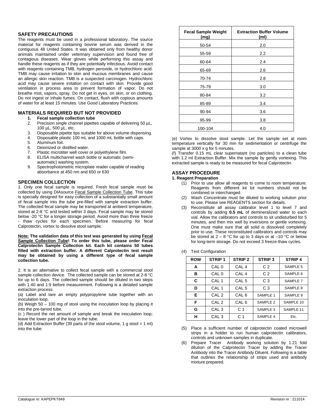#### **SAFETY PRECAUTIONS**

The reagents must be used in a professional laboratory. The source material for reagents containing bovine serum was derived in the contiguous 48 United States. It was obtained only from healthy donor animals maintained under veterinary supervision and found free of contagious diseases. Wear gloves while performing this assay and handle these reagents as if they are potentially infectious. Avoid contact with reagents containing TMB, hydrogen peroxide, or hydrochloric acid. TMB may cause irritation to skin and mucous membranes and cause an allergic skin reaction. TMB is a suspected carcinogen. Hydrochloric acid may cause severe irritation on contact with skin. Provide good ventilation in process area to prevent formation of vapor. Do not breathe mist, vapors, spray. Do not get in eyes, on skin, or on clothing. Do not ingest or inhale fumes. On contact, flush with copious amounts of water for at least 15 minutes. Use Good Laboratory Practices.

#### **MATERIALS REQUIRED BUT NOT PROVIDED**

- **1. Fecal sample collection tube**
- Precision single channel pipettes capable of delivering 50 µL, 100 µL, 500 µL, etc.
- 3. Disposable pipette tips suitable for above volume dispensing.
- 4. Disposable plastic 100 mL and 1000 mL bottle with caps.
- Aluminum foil.
- 6. Deionized or distilled water.
- 7. Plastic microtiter well cover or polyethylene film.
- 8. ELISA multichannel wash bottle or automatic (semiautomatic) washing system.
- 9. Spectrophotometric microplate reader capable of reading absorbance at 450 nm and 650 or 630

#### **SPECIMEN COLLECTION**

1. Only one fecal sample is required. Fresh fecal sample must be collected by using DIAsource Fecal Sample Collection Tube. This tube is specially designed for easy collection of a substantially small amount of fecal sample into the tube pre-filled with sample extraction buffer. The collected fecal sample may be transported at ambient temperature, stored at 2-8 °C and tested within 3 days. Fecal sample may be stored below -20 °C for a longer storage period. Avoid more than three freeze - thaw cycles for each specimen. Before measuring for fecal Calprotectin, vortex to dissolve stool sample.

**Note: The validation data of this test was generated by using Fecal Sample Collection Tube! To order this tube, please order Fecal Calprotectin Sample Collection kit. Each kit contains 50 tubes filled with extraction buffer. A different Calprotectin test result may be obtained by using a different type of fecal sample collection tube.** 

2. It is an alternative to collect fecal sample with a commercial stool sample collection device. The collected sample can be stored at 2-8 °C for up to 6 days. The collected sample should be diluted in two steps with 1:40 and 1:9 before measurement. Following is a detailed sample extraction process.

(a) Label and tare an empty polypropylene tube together with an inoculation loop.

(b) Weigh 50 – 100 mg of stool using the inoculation loop by placing it into the pre-tarred tube.

(c ) Record the net amount of sample and break the inoculation loop; leave the lower part of the loop in the tube.

(d) Add Extraction Buffer (39 parts of the stool volume, 1 g stool = 1 ml) into the tube:

| <b>Fecal Sample Weight</b><br>(mg) | <b>Extraction Buffer Volume</b><br>(m) |
|------------------------------------|----------------------------------------|
| 50-54                              | 2.0                                    |
| 55-59                              | 2.2                                    |
| 60-64                              | 2.4                                    |
| 65-69                              | 2.6                                    |
| 70-74                              | 2.8                                    |
| 75-79                              | 3.0                                    |
| 80-84                              | 3.2                                    |
| 85-89                              | 3.4                                    |
| 90-94                              | 3.6                                    |
| 95-99                              | 3.8                                    |
| 100-104                            | 4.0                                    |

(e) Vortex to dissolve stool sample. Let the sample set at room temperature vertically for 30 min for sedimentation or centrifuge the sample at 3000 x g for 5 minutes.

(f) Transfer 0.15 mL clear supernatant (no particles) to a clean tube with 1.2 ml Extraction Buffer. Mix the sample by gently vortexing. This extracted sample is ready to be measured for fecal Calprotectin.

#### **ASSAY PROCEDURE**

#### **1. Reagent Preparation**

- (1) Prior to use allow all reagents to come to room temperature. Reagents from different kit lot numbers should not be combined or interchanged.
- (2) Wash Concentrate must be diluted to working solution prior to use. Please see REAGENTS section for details.
- (3) Reconstitute all assay calibrator level 1 to level 7 and controls by adding **0.5 mL** of demineralized water to each vial. Allow the calibrators and controls to sit undisturbed for 5 minutes, and then mix well by inversions or gentle vortexing. One must make sure that all solid is dissolved completely prior to use. These reconstituted calibrators and controls may be stored at  $2 - 8$  °C for up to 3 days or at  $-10$  °C or below for long-term storage. Do not exceed 3 freeze-thaw cycles.
- (4) Test Configuration

| <b>ROW</b> | <b>STRIP1</b>    | STRIP <sub>2</sub> | <b>STRIP3</b>  | <b>STRIP4</b> |
|------------|------------------|--------------------|----------------|---------------|
| A          | CAL 0            | CAL <sub>4</sub>   | C <sub>2</sub> | SAMPLE 5      |
| в          | CAL 0            | CAL <sub>4</sub>   | C <sub>2</sub> | SAMPLE 6      |
| C          | CAL <sub>1</sub> | CAL <sub>5</sub>   | C <sub>3</sub> | SAMPLE 7      |
| D          | CAL <sub>1</sub> | CAL <sub>5</sub>   | C <sub>3</sub> | SAMPLE 8      |
| Е          | CAL <sub>2</sub> | CAL <sub>6</sub>   | SAMPLE 1       | SAMPLE 9      |
| F          | CAL <sub>2</sub> | CAL <sub>6</sub>   | SAMPLE 2       | SAMPLE 10     |
| G          | CAL <sub>3</sub> | C 1                | SAMPLE 3       | SAMPLE 11     |
| н          | CAL <sub>3</sub> | C <sub>1</sub>     | SAMPLE 4       | Etc.          |

(5) Place a sufficient number of calprotectin coated microwell strips in a holder to run human calprotectin calibrators, controls and unknown samples in duplicate.

(6) Prepare Tracer Antibody working solution by 1:21 fold dilution of the Calprotectin Tracer by adding the Tracer Antibody into the Tracer Antibody Diluent. Following is a table that outlines the relationship of strips used and antibody mixture prepared.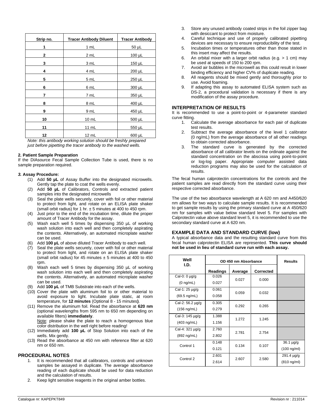| Strip no.    | <b>Tracer Antibody Diluent</b> | <b>Tracer Antibody</b> |
|--------------|--------------------------------|------------------------|
| 1            | 1 mL                           | $50 \mu L$             |
| $\mathbf{2}$ | 2 mL                           | $100 \mu L$            |
| 3            | 3 mL                           | $150 \mu L$            |
| 4            | 4 mL                           | $200 \mu L$            |
| 5            | 5 mL                           | 250 µL                 |
| 6            | 6 mL                           | 300 µL                 |
| 7            | 7 mL                           | 350 µL                 |
| 8            | 8 mL                           | 400 µL                 |
| 9            | 9 mL                           | 450 µL                 |
| 10           | 10 mL                          | 500 µL                 |
| 11           | 11 mL                          | 550 µL                 |
| 12           | 12 mL                          | 600 µL                 |

*Note: this antibody working solution should be freshly prepared just before pipetting the tracer antibody to the washed wells.*

#### **2. Patient Sample Preparation**

If the DIAsource Fecal Sample Collection Tube is used, there is no sample preparation required.

#### *3.* **Assay Procedure:**

- (1) Add **50 µL** of Assay Buffer into the designated microwells. Gently tap the plate to coat the wells evenly.
- (2) Add **50 µL** of Calibrators, Controls and extracted patient samples into the designated microwells
- (3) Seal the plate wells securely, cover with foil or other material to protect from light, and rotate on an ELISA plate shaker (small orbit radius) for 1 hr.  $\pm$  5 minutes at 400 to 450 rpm.
- (4) Just prior to the end of the incubation time, dilute the proper amount of Tracer Antibody for the assay.
- (5) Wash each well 5 times by dispensing 350 µL of working wash solution into each well and then completely aspirating the contents. Alternatively, an automated microplate washer can be used.
- (6) Add **100 µL** of above diluted Tracer Antibody to each well.
- (7) Seal the plate wells securely, cover with foil or other material to protect from light, and rotate on an ELISA plate shaker (small orbit radius) for 45 minutes  $\pm$  5 minutes at 400 to 450 rpm.
- (8) Wash each well 5 times by dispensing 350 µL of working wash solution into each well and then completely aspirating the contents. Alternatively, an automated microplate washer can be used.
- (9) Add **100 µL** of TMB Substrate into each of the wells.
- (10) Cover the plate with aluminum foil to or other material to avoid exposure to light. Incubate plate static, at room temperature, for **12 minutes** (Optional 8 - 15 minutes**)**.
- (11) Remove the aluminum foil. Read the absorbance at **620 nm** (optional wavelengths from 595 nm to 650 nm depending on available filters) **immediately**. Note: please shake the plate to reach a homogenous blue color distribution in the well right before reading!
- (12) Immediately add **100 µL** of Stop Solution into each of the wells. Mix gently.
- (13) Read the absorbance at 450 nm with reference filter at 620 nm or 650 nm.

#### **PROCEDURAL NOTES**

- 1. It is recommended that all calibrators, controls and unknown samples be assayed in duplicate. The average absorbance reading of each duplicate should be used for data reduction and the calculation of results.
- 2. Keep light sensitive reagents in the original amber bottles.
- 3. Store any unused antibody coated strips in the foil zipper bag with desiccant to protect from moisture.
- 4. Careful technique and use of properly calibrated pipetting devices are necessary to ensure reproducibility of the test.
- 5. Incubation times or temperatures other than those stated in this insert may affect the results.
- 6. An orbital mixer with a larger orbit radius (e.g.  $> 1$  cm) may be used at speeds of 150 to 200 rpm.
- 7. Avoid air bubbles in the microwell as this could result in lower binding efficiency and higher CV% of duplicate reading.
- 8. All reagents should be mixed gently and thoroughly prior to use. Avoid foaming.
- 9. If adapting this assay to automated ELISA system such as DS-2, a procedural validation is necessary if there is any modification of the assay procedure.

#### **INTERPRETATION OF RESULTS**

It is recommended to use a point-to-point or 4-parameter standard curve fitting.

- 1. Calculate the average absorbance for each pair of duplicate test results.
- 2. Subtract the average absorbance of the level 1 calibrator (0 ng/mL) from the average absorbance of all other readings to obtain corrected absorbance.
- 3. The standard curve is generated by the corrected absorbance of all calibrator levels on the ordinate against the standard concentration on the abscissa using point-to-point or log-log paper. Appropriate computer assisted data reduction programs may also be used for the calculation of results.

The fecal human calprotectin concentrations for the controls and the patient samples are read directly from the standard curve using their respective corrected absorbance.

The use of the two absorbance wavelength at A 620 nm and A450/620 nm allows for two ways to calculate sample results. It is recommended to get sample results by using the primary standard curve at A 450/620 nm for samples with value below standard level 5. For samples with Calprotectin value above standard level 5, it is recommended to use the secondary standard curve at A 620 nm.

#### **EXAMPLE DATA AND STANDARD CURVE (low)**

A typical absorbance data and the resulting standard curve from this fecal human calprotectin ELISA are represented. **This curve should not be used in lieu of standard curve run with each assay.**

| Well<br>I.D.          | OD 450 nm Absorbance |                | <b>Results</b> |                   |
|-----------------------|----------------------|----------------|----------------|-------------------|
|                       | Readings             | Average        | Corrected      |                   |
| Cal-0: 0 µg/g         | 0.026                | 0.027          | 0.000          |                   |
| $(0 \nmid m/L)$       | 0.027                |                |                |                   |
| Cal-1: 25 µg/g        | 0.061                | 0.059          | 0.032          |                   |
| $(69.5 \nmid mL)$     | 0.058                |                |                |                   |
| Cal-2: 56.2 µg/g      | 0.305                |                | 0.265          |                   |
| $(156 \text{ ng/mL})$ | 0.279                | 0.292          |                |                   |
| Cal-3: 145 µg/g       | 1.388                | 1.272          | 1.245          |                   |
| $(403 \nmid m/L)$     | 1.156                |                |                |                   |
| Cal-4: 321 µg/g       | 2.760                | 2.781          | 2.754          |                   |
| (892 ng/mL)           | 2.802                |                |                |                   |
| Control 1             | 0.148                |                | 0.107          | 36.1 µg/g         |
|                       | 0.121                | 0.134          |                | $(100 \nmid m/m)$ |
| Control 2             | 2.601                | 2.607<br>2.614 |                | $291.4 \mu g/g$   |
|                       |                      |                | 2.580          | $(810 \nmid m/m)$ |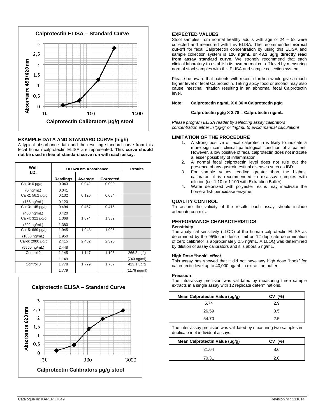

#### **EXAMPLE DATA AND STANDARD CURVE (high)**

A typical absorbance data and the resulting standard curve from this fecal human calprotectin ELISA are represented. **This curve should not be used in lieu of standard curve run with each assay.**

| Well<br>I.D.     | OD 620 nm Absorbance |         |                  | <b>Results</b>    |
|------------------|----------------------|---------|------------------|-------------------|
|                  | Readings             | Average | <b>Corrected</b> |                   |
| Cal-0: 0 µg/g    | 0.043                | 0.042   | 0.000            |                   |
| $(0 \nmid mL)$   | 0.041                |         |                  |                   |
| Cal-2: 56.2 µg/g | 0.132                | 0.126   | 0.084            |                   |
| (156 ng/mL)      | 0.120                |         |                  |                   |
| Cal-3: 145 µg/g  | 0.494                | 0.457   | 0.415            |                   |
| (403 ng/mL)      | 0.420                |         |                  |                   |
| Cal-4: 321 µg/g  | 1.368                | 1.374   | 1.332            |                   |
| (892 ng/mL)      | 1.380                |         |                  |                   |
| Cal-5: 669 µg/g  | 1.945                | 1.948   | 1.906            |                   |
| (1860 ng/mL)     | 1.950                |         |                  |                   |
| Cal-6: 2000 µg/g | 2.415                | 2.432   | 2.390            |                   |
| (5560 ng/mL)     | 2.448                |         |                  |                   |
| Control 2        | 1.145                | 1.147   | 1.105            | 266.3 µg/g        |
|                  | 1.149                |         |                  | (740 ng/ml)       |
| Control 3        | 1.778                | 1.779   | 1.737            | $423.1 \,\mu g/g$ |
|                  | 1.779                |         |                  | (1176 ng/ml)      |



### **EXPECTED VALUES**

Stool samples from normal healthy adults with age of 24 – 58 were collected and measured with this ELISA. The recommended **normal cut-off** for fecal Calprotectin concentration by using this ELISA and sample collection system is **120 ng/mL or 43.2 µg/g directly read from assay standard curve**. We strongly recommend that each clinical laboratory to establish its own normal cut-off level by measuring normal stool samples with this ELISA and sample collection system.

Please be aware that patients with recent diarrhea would give a much higher level of fecal Calprotectin. Taking spicy food or alcohol may also cause intestinal irritation resulting in an abnormal fecal Calprotectin level.

#### **Note: Calprotectin ng/mL X 0.36 = Calprotectin µg/g**

#### **Calprotectin µg/g X 2.78 = Calprotectin ng/mL**

*Please program ELISA reader by selecting assay calibrators concentration either in "µg/g" or "ng/mL to avoid manual calculation!*

#### **LIMITATION OF THE PROCEDURE**

- 1. A strong positive of fecal calprotectin is likely to indicate a more significant clinical pathological condition of a patient. However, a low positive of fecal calprotectin does not indicate a lesser possibility of inflammation.
- 2. A normal fecal calprotectin level does not rule out the presence of any gastrointestinal diseases such as IBD.
- 3. For sample values reading greater than the highest calibrator, it is recommended to re-assay samples with dilution (i.e. 1:10 or 1:100 with Extraction Buffer).
- 4. Water deionized with polyester resins may inactivate the horseradish peroxidase enzyme.

#### **QUALITY CONTROL**

To assure the validity of the results each assay should include adequate controls.

#### **PERFORMANCE CHARACTERISTICS**

#### **Sensitivity**

The analytical sensitivity (LLOD) of the human calprotectin ELISA as determined by the 95% confidence limit on 12 duplicate determination of zero calibrator is approximately 2.5 ng/mL. A LLOQ was determined by dilution of assay calibrators and it is about 5 ng/mL.

#### **High Dose "hook" effect**

This assay has showed that it did not have any high dose "hook" for calprotectin level up to 40,000 ng/mL in extraction buffer.

#### **Precision**

The intra-assay precision was validated by measuring three sample extracts in a single assay with 12 replicate determinations.

| Mean Calprotectin Value (µg/g) | CV(%) |
|--------------------------------|-------|
| 5.74                           | 2.9   |
| 26.59                          | 3.5   |
| 54.70                          | 2.5   |

The inter-assay precision was validated by measuring two samples in duplicate in 4 individual assays.

| Mean Calprotectin Value (µg/g) | CV(%) |
|--------------------------------|-------|
| 21.64                          | 8.6   |
| 70.31                          | 2.0   |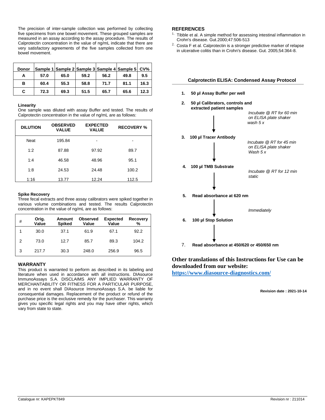The precision of inter-sample collection was performed by collecting five specimens from one bowel movement. These grouped samples are measured in an assay according to the assay procedure. The results of Calprotectin concentration in the value of ng/mL indicate that there are very satisfactory agreements of the five samples collected from one bowel movement.

| <b>Donor</b> |      |      |      |      | Sample 1 Sample 2 Sample 3 Sample 4 Sample 5 | CV <sub>0</sub> |
|--------------|------|------|------|------|----------------------------------------------|-----------------|
| А            | 57.0 | 65.0 | 59.2 | 56.2 | 49.8                                         | 9.5             |
| в            | 60.4 | 55.3 | 58.8 | 71.7 | 81.1                                         | 16.3            |
| C.           | 72.3 | 69.3 | 51.5 | 65.7 | 65.6                                         | 12.3            |

#### **Linearity**

One sample was diluted with assay Buffer and tested. The results of Calprotectin concentration in the value of ng/mL are as follows:

| <b>DILUTION</b> | <b>OBSERVED</b><br><b>VALUE</b> | <b>EXPECTED</b><br><b>VALUE</b> | <b>RECOVERY %</b> |
|-----------------|---------------------------------|---------------------------------|-------------------|
| <b>Neat</b>     | 195.84                          | -                               |                   |
| 1:2             | 87.88                           | 97.92                           | 89.7              |
| 1:4             | 46.58                           | 48.96                           | 95.1              |
| 1:8             | 24.53                           | 24.48                           | 100.2             |
| 1:16            | 13.77                           | 12.24                           | 112.5             |

#### **Spike Recovery**

Three fecal extracts and three assay calibrators were spiked together in various volume combinations and tested. The results Calprotectin concentration in the value of ng/mL are as follows:

| # | Orig.<br>Value | Amount<br><b>Spiked</b> | <b>Observed</b><br>Value | <b>Expected</b><br>Value | Recovery<br>% |
|---|----------------|-------------------------|--------------------------|--------------------------|---------------|
|   | 30.0           | 37.1                    | 61.9                     | 67.1                     | 92.2          |
| 2 | 73.0           | 12.7                    | 85.7                     | 89.3                     | 104.2         |
| 3 | 217.7          | 30.3                    | 248.0                    | 256.9                    | 96.5          |

#### **WARRANTY**

This product is warranted to perform as described in its labeling and literature when used in accordance with all instructions. DIAsource ImmunoAssays S.A. DISCLAIMS ANY IMPLIED WARRANTY OF MERCHANTABILITY OR FITNESS FOR A PARTICULAR PURPOSE, and in no event shall DIAsource ImmunoAssays S.A. be liable for consequential damages. Replacement of the product or refund of the purchase price is the exclusive remedy for the purchaser. This warranty gives you specific legal rights and you may have other rights, which vary from state to state.

#### **REFERENCES**

- Tibble et al. A simple method for assessing intestinal inflammation in Crohn's disease. Gut.2000;47:506-513
- $2.$  Costa F et al. Calprotectin is a stronger predictive marker of relapse in ulcerative colitis than in Crohn's disease. Gut. 2005;54:364-8.



## **Other translations of this Instructions for Use can be downloaded from our website:**

**<https://www.diasource-diagnostics.com/>**

**Revision date : 2021-10-14**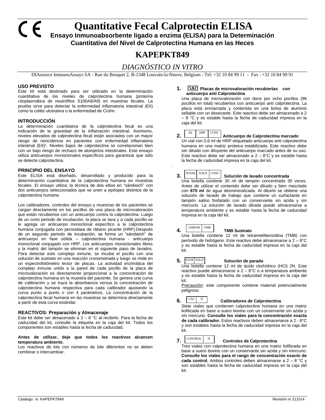**Quantitative Fecal Calprotectin ELISA** 

**Ensayo Inmunoabsorbente ligado a enzima (ELISA) para la Determinación Cuantitativa del Nivel de Calprotectina Humana en las Heces**

# **KAPEPKT849**

## *DIAGNÓSTICO IN VITRO*

DIAsource ImmunoAssays SA - Rue du Bosquet 2, B-1348 Louvain-la-Neuve, Belgium - Tel: +32 10 84 99 11 - Fax : +32 10 84 99 91

#### **USO PREVISTO**

C E

Este kit está destinado para ser utilizado en la determinación cuantitativa de los niveles de calprotectina humana (proteína citoplasmática de neutrófilos S100A8/A9) en muestras fecales. La prueba sirve para detectar la enfermedad inflamatoria intestinal (EII) como la colitis ulcerativa o la enfermedad de Crohn.

#### **INTRODUCCIÓN**

La determinación cuantitativa de la calprotectina fecal es una indicación de la gravedad de la inflamación intestinal. Asimismo, niveles elevados de calprotectina fecal están asociados con un mayor riesgo de reincidencia en pacientes con enfermedad inflamatoria intestinal (EII)<sup>1</sup>. Niveles bajos de calprotectina se correlacionan bien con un bajo riesgo de rechazo de aloinjertos intestinales. Este ensayo utiliza anticuerpos monoclonales específicos para garantizar que sólo se detecte calprotectina.

#### **PRINCIPIO DEL ENSAYO**

Este ELISA está diseñado, desarrollado y producido para la determinación cuantitativa de la calprotectina humana en muestras fecales. El ensayo utiliza; la técnica de dos sitios en "sándwich" con dos anticuerpos seleccionados que se unen a epítopes distintos de la calprotectina humana.

Los calibradores, controles del ensayo y muestras de los pacientes se cargan directamente en los pocillos de una placa de microvaloración que están recubiertos con un anticuerpo contra la calprotectina. Luego de un corto periodo de incubación, la placa se lava y a cada pocillo se le agrega un anticuerpo monoclonal específico a la calprotectina humana conjugada con peroxidasa de rábano picante (HRP).Después de un segundo periodo de incubación, se forma un "sándwich" de anticuerpo en fase sólida – calprotectina humana - anticuerpo monoclonal conjugado con HRP. Los anticuerpos monoclonales libres y la matriz del tampón se eliminan en el siguiente paso de lavados. Para detectar este complejo inmune, se incuba el pocillo con una solución de sustrato en una reacción cronometrada y luego se mide en un espectrofotómetro lector de placas. La actividad enzimática del complejo inmune unido a la pared de cada pocillo de la placa de microvaloración es directamente proporcional a la concentración de calprotectina humana en la muestra del paciente. Se genera una curva de calibración y se traza la absorbancia versus la concentración de calprotectina humana respectiva para cada calibrador ajustando la curva punto a punto o con 4 parámetros. La concentración de la calprotectina fecal humana en las muestras se determina directamente a partir de esta curva estándar.

#### **REACTIVOS: Preparación y Almacenaje**

Este kit debe ser almacenado a 2 – 8 °C al recibirlo. Para la fecha de caducidad del kit, consulte la etiqueta en la caja del kit. Todos los componentes son estables hasta la fecha de caducidad.

#### **Antes de utilizar, deje que todos los reactivos alcancen temperatura ambiente.**

Los reactivos de kits con números de lote diferentes no se deben combinar o intercambiar.

#### **1. Placas de microvaloración recubiertas con anticuerpo anti Calprotectina**

Una placa de microvaloración con doce por ocho pocillos (96 pocillos en total) recubiertos con anticuerpo anti calprotectina. La placa está enmarcada y contenida en una bolsa de aluminio sellable con un desecante. Este reactivo debe ser almacenado a 2 – 8 °C y es estable hasta la fecha de caducidad impresa en la caja del kit.



.

#### **2.** And Anticuerpo de Calprotectina marcado HRP CONC

Un vial con 0,6 ml de HRP etiquetado anticuerpo anti calprotectina humana en una matriz proteica estabilizada. Este reactivo debe ser diluido con diluyente del anticuerpo marcado antes de su uso. Este reactivo debe ser almacenado a  $2 - 8$ °C y es estable hasta la fecha de caducidad impresa en la caja del kit.

#### WASH SOLN CONC

**3.**  $\left|\frac{WASH}{SOLN}\right|$  CONC Solución de lavado concentrada Una botella contiene 30 ml de tampón concentrado 30 veces. Antes de utilizar el contenido debe ser diluido y bien mezclado con **870 ml** de agua desmineralizada. Al diluirlo se obtiene una solución de lavado de trabajo que contiene un surfactante en tampón salino fosfatado con un conservante sin azida y sin mercurio. La solución de lavado diluida puede almacenarse a temperatura ambiente y es estable hasta la fecha de caducidad impresa en la caja del kit.

#### **4.** CHROM TMB **TMB Sustrato**  $CHROM$

Una botella contiene 12 ml de tetrametilbenzidina (TMB) con peróxido de hidrógeno. Este reactivo debe almacenarse a 2 – 8°C y es estable hasta la fecha de caducidad impresa en la caja del kit.

#### **5. Solución de parada** 5. STOP SOLN

Una botella contiene 12 ml de ácido clorhídrico (HCl) 2N. Este reactivo puede almacenarse a 2 – 8°C o a temperatura ambiente y es estable hasta la fecha de caducidad impresa en la caja del kit.

Precaución: este componente contiene material potencialmente peligroso



## **6.** CAL N Calibradores de Calprotectina

Siete viales que contienen calprotectina humana en una matriz liofilizada en base a suero bovino con un conservante sin azida y sin mercurio. **Consulte los viales para la concentración exacta de cada calibrador.** Estos reactivos deben almacenarse a 2 - 8°C y son estables hasta la fecha de caducidad impresa en la caja del kit.



## **7.** CONTROL N Controles de Calprotectina

Tres viales con calprotectina humana en una matriz liofilizada en base a suero bovino con un conservante sin azida y sin mercurio. **Consulte los viales para el rango de concentración exacto de cada control.** Ambos controles deben almacenarse a 2 – 8 °C y son estables hasta la fecha de caducidad impresa en la caja del kit.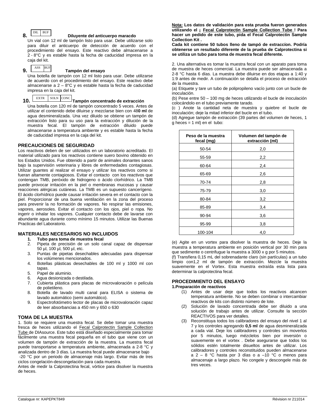DIL BUF

#### **8. Diluyente del anticuerpo maracdo**

Un vial con 12 ml de tampón listo para usar. Debe utilizarse solo para diluir el anticuerpo de detección de acuerdo con el procedimiento del ensayo. Este reactivo debe almacenarse a 2 - 8°C y es estable hasta la fecha de caducidad impresa en la caja del kit.

ASS BUF

### **9. Tampón del ensayo**

Una botella de tampón con 12 ml listo para usar. Debe utilizarse de acuerdo con el procedimiento del ensayo. Este reactivo debe almacenarse a 2 – 8°C y es estable hasta la fecha de caducidad impresa en la caja del kit.

## 10. EXTR SOLN CONC **Tampón concentrado de extracción**

Una botella con 120 ml de tampón concentrado 5 veces. Antes de utilizar el contenido debe diluirse y mezclarse bien con 48**0 ml** de agua desmineralizada. Una vez diluido se obtiene un tampón de extracción listo para su uso para la extracción y dilución de la muestra fecal. El tampón de extracción diluido puede almacenarse a temperatura ambiente y es estable hasta la fecha de caducidad impresa en la caja del kit.

#### **PRECAUCIONES DE SEGURIDAD**

Los reactivos deben de ser utilizados en un laboratorio acreditado. El material utilizado para los reactivos contiene suero bovino obtenido en los Estados Unidos. Fue obtenido a partir de animales donantes sanos bajo la supervisión veterinaria y libres de enfermedades contagiosas. Utilizar guantes al realizar el ensayo y utilizar los reactivos como si fueran altamente contagiosos. Evitar el contacto con los reactivos que contengan TMB, peróxido de hidrogeno o ácido clorhídrico. La TMB puede provocar irritación en la piel o membranas mucosas y causar reacciones alérgicas cutáneas. La TMB es un supuesto cancerígeno. El ácido clorhídrico puede causar irritación severa en el contacto con la piel. Proporcionar de una buena ventilación en la zona del proceso para prevenir la no formación de vapores. No respirar las emisiones, vapores, aerosoles. Evitar el contacto con los ojos, piel o ropa. No ingerir o inhalar los vapores. Cualquier contacto debe de lavarse con abundante agua durante como mínimo 15 minutos. Utilizar las Buenas Practicas del Laboratorio.

#### **MATERIALES NECESARIOS NO INCLUIDOS**

- **1. Tubo para toma de muestra fecal**
- 2. Pipeta de precisión de un solo canal capaz de dispensar 50 µl, 100 µl, 500 µl, etc.
- 3. Puntas de pipetas desechables adecuadas para dispensar los volúmenes mencionados.
- 4. Botellas plásticas desechables de 100 ml y 1000 ml con tapas.
- 5. Papel de aluminio.
- 6. Agua desionizada o destilada.
- 7. Cubierta plástica para placas de microvaloración o película de polietileno.
- 8. Botella de lavado multi canal para ELISA o sistema de lavado automático (semi automático).
- 9. Espectrofotómetro lector de placas de microvaloración capaz de leer absorbancias a 450 nm y 650 o 630

#### **TOMA DE LA MUESTRA**

1. Solo se requiere una muestra fecal. Se debe tomar una muestra fresca de heces utilizando el Fecal Calprotectin Sample Collection Tube de DIAsource. Este tubo está diseñado especialmente para tomar fácilmente una muestra fecal pequeña en el tubo que viene con un volumen de tampón de extracción de la muestra. La muestra fecal puede transportarse a temperatura ambiente, almacenada a 2-8 °C y analizada dentro de 3 días. La muestra fecal puede almacenarse bajo -20 °C por un periodo de almacenaje más largo. Evitar más de tres

ciclos congelación-descongelación para cada muestra.

Antes de medir la Calprotectina fecal, vórtice para disolver la muestra de heces.

**Nota: Los datos de validación para esta prueba fueron generados utilizando el ¡ Fecal Calprotectin Sample Collection Tube ! Para hacer un pedido de este tubo, pida el Fecal Calprotectin Sample Collection Kit .**

**Cada kit contiene 50 tubos lleno de tampó de extraccíon. Podría obtenerse un resultado diferente de la prueba de Calprotectina si se utiliza un tubo para toma de muestra fecal diferente.**

2. Una alternativa es tomar la muestra fecal con un aparato para toma de muestra de heces comercial. La muestra puede ser almacenada a 2-8 °C hasta 6 días. La muestra debe diluirse en dos etapas a 1:40 y 1:9 antes de medir. A continuación se detalla el proceso de extracción de la muestra.

(a) Etiquete y tare un tubo de polipropileno vacío junto con un bucle de inoculación.

(b) Pese entre 50 – 100 mg de heces utilizando el bucle de inoculación colocándolo en el tubo previamente tarado.

(c ) Anote la cantidad neta de muestra y quiebre el bucle de inoculación; deje la mitad inferior del bucle en el tubo.

(d) Agregue tampón de extracción (39 partes del volumen de heces, 1 g heces = 1 ml) en el tubo:

| Peso de la muestra<br>fecal (mg) | Volumen del tampón de<br>extracción (ml) |
|----------------------------------|------------------------------------------|
| 50-54                            | 2,0                                      |
| 55-59                            | 2,2                                      |
| 60-64                            | 2,4                                      |
| 65-69                            | 2,6                                      |
| 70-74                            | 2,8                                      |
| 75-79                            | 3,0                                      |
| 80-84                            | 3,2                                      |
| 85-89                            | 3,4                                      |
| 90-94                            | 3,6                                      |
| 95-99                            | 3,8                                      |
| 100-104                          | 4,0                                      |

(e) Agite en un vortex para disolver la muestra de heces. Deje la muestra a temperatura ambiente en posición vertical por 30 min para que sedimente o centrifugue la muestra a 3000 x g por 5 minutos. (f) Transfiera 0,15 mL del sobrenadante claro (sin partículas) a un tubo

limpio con1,2 ml de tampón de extracción. Mezcle la muestra suavemente en el Vortex. Esta muestra extraída esta lista para determinar la calprotectina fecal.

#### **PROCEDIMIENTO DEL ENSAYO**

#### **1.Preparación de reactivos**

- (1) Antes de usar deje que todos los reactivos alcancen temperatura ambiente. No se deben combinar o intercambiar reactivos de kits con distinto número de lote.
- Solución de lavado concentrada debe ser diluido a una solución de trabajo antes de utilizar. Consulte la sección REACTIVOS para ver detalles.
- (3) Reconstituya todos los calibradores del ensayo del nivel 1 al 7 y los controles agregando **0,5 ml** de agua desmineralizada a cada vial. Deje los calibradores y controles sin moverlos por 5 minutos, luego mézclelos bien por inversión o suavemente en el vortex . Debe asegurarse que todos los sólidos estén totalmente disueltos antes de utilizar. Los calibradores y controles reconstituidos pueden almacenarse a  $2 - 8$  °C hasta por 3 días o a  $-10$  °C o menos para almacenaje a largo plazo. No congele y descongele más de tres veces.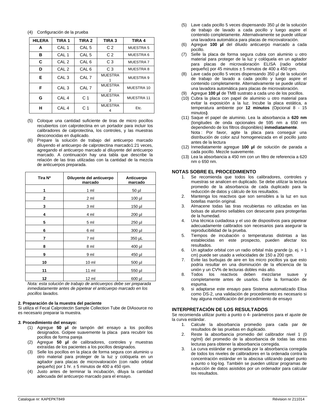#### (4) Configuración de la prueba

| <b>HILERA</b> | <b>TIRA1</b>     | TIRA <sub>2</sub> | TIRA <sub>3</sub>   | <b>TIRA 4</b>    |
|---------------|------------------|-------------------|---------------------|------------------|
| A             | CAL <sub>1</sub> | CAL <sub>5</sub>  | C <sub>2</sub>      | MUESTRA 5        |
| в             | CAL <sub>1</sub> | CAL <sub>5</sub>  | C <sub>2</sub>      | MUESTRA 6        |
| C             | CAL <sub>2</sub> | CAL <sub>6</sub>  | C <sub>3</sub>      | <b>MUESTRA7</b>  |
| D             | CAL <sub>2</sub> | CAL <sub>6</sub>  | C <sub>3</sub>      | <b>MUESTRA 8</b> |
| Е             | CAL <sub>3</sub> | CAL <sub>7</sub>  | <b>MUESTRA</b>      | MUESTRA 9        |
| F             | CAL <sub>3</sub> | CAL <sub>7</sub>  | <b>MUESTRA</b><br>2 | MUESTRA 10       |
| G             | CAL <sub>4</sub> | C <sub>1</sub>    | <b>MUESTRA</b><br>3 | MUESTRA 11       |
| н             | CAL <sub>4</sub> | C <sub>1</sub>    | <b>MUESTRA</b>      | Etc.             |

- (5) Coloque una cantidad suficiente de tiras de micro pocillos recubiertos con calprotectina en un portador para incluir los calibradores de calprotectina, los controles, y las muestras desconocidas en duplicado.
- (6) Prepare la solución de trabajo del anticuerpo marcado diluyendo el anticuerpo de calprotectina marcado1:21 veces, agregando el anticuerpo marcado al diluyente del anticuerpo marcado. A continuación hay una tabla que describe la relación de las tiras utilizadas con la cantidad de la mezcla de anticuerpos preparada.

| Tira N°      | Diluyente del anticuerpo<br>marcado | Anticuerpo<br>marcado |
|--------------|-------------------------------------|-----------------------|
| 1            | 1 <sub>m</sub>                      | 50 µl                 |
| $\mathbf{2}$ | 2 ml                                | 100 µl                |
| 3            | 3 ml                                | 150 µl                |
| 4            | 4 ml                                | 200 µl                |
| 5            | 5 ml                                | 250 µl                |
| 6            | 6 ml                                | 300 µl                |
| 7            | 7 ml                                | 350 µL                |
| 8            | 8 ml                                | 400 µl                |
| 9            | 9 ml                                | 450 µl                |
| 10           | 10 <sub>m</sub>                     | 500 µl                |
| 11           | 11 ml                               | 550 µl                |
| 12           | 12 ml                               | 600 µl                |

*Nota: esta solución de trabajo de anticuerpos debe ser preparada inmediatamente antes de pipetear el anticuerpo marcado en los pocillos lavados.*

#### **2. Preparación de la muestra del paciente**

Si utiliza el Fecal Calprotectin Sample Collection Tube de DIAsource no es necesario preparar la muestra.

#### *3.* **Procedimiento del ensayo:**

- (1) Agregue **50 µl** de tampón del ensayo a los pocillos designados. Golpee suavemente la placa para recubrir los pocillos de forma pareja
- (2) Agregue **50 µl** de calibradores, controles y muestras extraídas de los pacientes a los pocillos designados.
- (3) Selle los pocillos en la placa de forma segura con aluminio u otro material para proteger de la luz y colóquela en un agitador para placas de microvaloración (con radio orbital pequeño) por 1 hr. ± 5 minutos de 400 a 450 rpm.
- (4) Justo antes de terminar la incubación, diluya la cantidad adecuada del anticuerpo marcado para el ensayo.
- (5) Lave cada pocillo 5 veces dispensando 350 µl de la solución de trabajo de lavado a cada pocillo y luego aspire el contenido completamente. Alternativamente se puede utilizar una lavadora automática para placas de microvaloración.
- (6) Agregue **100 µl** del diluido anticuerpo marcado a cada pocillo.
- (7) Selle la placa de forma segura cubra con aluminio u otro material para proteger de la luz y colóquela en un agitador para placas de microvaloración ELISA (radio orbital pequeño) por 45 minutos ± 5 minutos de 400 a 450 rpm.
- (8) Lave cada pocillo 5 veces dispensando 350 µl de la solución de trabajo de lavado a cada pocillo y luego aspire el contenido completamente. Alternativamente se puede utilizar una lavadora automática para placas de microvaloración.
- (9) Agregue **100 µl** de TMB sustrato a cada uno de los pocillos.
- (10) Cubra la placa con papel de aluminio u otro material para evitar la exposición a la luz. Incube la placa estática, a temperatura ambiente por **12 minutos** (Opcional 8 - 15 minutos**)**.
- (11) Saque el papel de aluminio. Lea la absorbancia a **620 nm** (longitudes de onda opcionales de 595 nm a 650 nm dependiendo de los filtros disponibles) **inmediatamente**. Nota : Por favor, agite la placa para conseguir una distribución de color azul homogeneizada en el pocillo justo antes de la lectura
- (12) Inmediatamente agregue **100 µl** de solución de parada a cada pocillo. Mezcle suavemente.
- (13) Lea la absorbancia a 450 nm con un filtro de referencia a 620 nm o 650 nm.

#### **NOTAS SOBRE EL PROCEDIMIENTO**

- 1. Se recomienda que todos los calibradores, controles y muestras se analicen en duplicado. Se debe utilizar la lectura promedio de la absorbancia de cada duplicado para la reducción de datos y cálculo de los resultados.
- 2. Mantenga los reactivos que son sensibles a la luz en sus botellas marrón original.
- 3. Almacene todas las tiras recubiertas no utilizadas en las bolsas de aluminio sellables con desecante para protegerlas de la humedad.
- 4. Una técnica cuidadosa y el uso de dispositivos para pipetear adecuadamente calibrados son necesarios para asegurar la reproducibilidad de la prueba.
- 5. Tiempos de incubación o temperaturas distintas a las establecidas en este prospecto, pueden afectar los resultados.
- 6. Un agitador orbital con un radio orbital más grande (p. ej. > 1 cm) puede ser usado a velocidades de 150 a 200 rpm.
- 7. Evite las burbujas de aire en los micro pocillos ya que esto podría resultar en una disminución de la eficiencia de la unión y un CV% de lecturas dobles más alto.
- 8. Todos los reactivos deben mezclarse suave y completamente antes de usarlos. Evite la formación de espuma.
- 9. si adaptarse este ensayo para Sistema automatizado Elisa como DS-2, una validación de procedimiento es necesario si hay alguna modificación del procedimiento de ensayo

#### **INTERPRETACIÓN DE LOS RESULTADOS**

Se recomienda utilizar punto a punto o 4- parámetros para el ajuste de la curva estándar.

- 1. Calcule la absorbancia promedio para cada par de resultados de las pruebas en duplicado.
- 2. Reste la absorbancia promedio del calibrador nivel 1 (0 ng/ml) del promedio de la absorbancia de todas las otras lecturas para obtener la absorbancia corregida.
- 3. La curva estándar es generada por la absorbancia corregida de todos los niveles de calibradores en la ordenada contra la concentración estándar en la abscisa utilizando papel punto a punto o log-log. También se pueden utilizar programas de reducción de datos asistidos por un ordenador para calcular los resultados.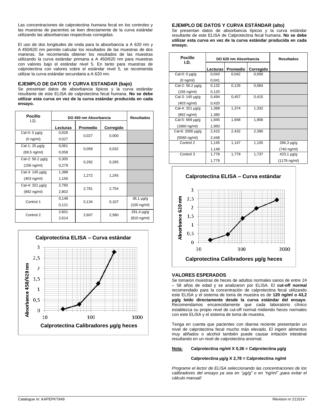Las concentraciones de calprotectina humana fecal en los controles y las muestras de pacientes se leen directamente de la curva estándar utilizando las absorbancias respectivas corregidas.

El uso de dos longitudes de onda para la absorbancia a A 620 nm y A 450/620 nm permite calcular los resultados de las muestras de dos maneras. Se recomienda obtener los resultados de las muestras utilizando la curva estándar primaria a A 450/620 nm para muestras con valores bajo el estándar nivel 5. En tanto para muestras de calprotectina con valores sobre el estándar nivel 5, se recomienda utilizar la curva estándar secundaria a A 620 nm.

#### **EJEMPLO DE DATOS Y CURVA ESTANDAR (bajo)**

Se presentan datos de absorbancia típicos y la curva estándar resultante de este ELISA de calprotectina fecal humana. **No se debe utilizar esta curva en vez de la curva estándar producida en cada ensayo.**

| <b>Pocillo</b><br>I.D. | DO 450 nm Absorbancia | <b>Resultados</b> |           |                       |
|------------------------|-----------------------|-------------------|-----------|-----------------------|
|                        | Lecturas              | <b>Promedio</b>   | Corregido |                       |
| Cal-0: 0 µg/g          | 0,026                 | 0,027             | 0,000     |                       |
| $(0 \nmid m/m)$        | 0,027                 |                   |           |                       |
| Cal-1: 25 µg/g         | 0,061                 |                   |           |                       |
| $(69.5 \nmid m)$       | 0,058                 | 0,059             | 0,032     |                       |
| Cal-2: 56.2 µg/g       | 0,305                 |                   |           |                       |
| $(156 \nmid m)$        | 0,279                 | 0,292             | 0,265     |                       |
| Cal-3: 145 µg/g        | 1,388                 | 1,272             | 1,245     |                       |
| (403 ng/ml)            | 1,156                 |                   |           |                       |
| Cal-4: 321 µg/g        | 2,760                 | 2,781             | 2,754     |                       |
| (892 ng/ml)            | 2,802                 |                   |           |                       |
| Control 1              | 0,148                 | 0,134             | 0,107     | 36,1 µg/g             |
|                        | 0,121                 |                   |           | $(100 \text{ ng/ml})$ |
| Control 2              | 2,601                 | 2,607             | 2,580     | $291,4 \mu g/g$       |
|                        | 2,614                 |                   |           | (810 ng/ml)           |



#### **EJEMPLO DE DATOS Y CURVA ESTÁNDAR (alto)**

Se presentan datos de absorbancia típicos y la curva estándar resultante de este ELISA de Calprotectina fecal humana. **No se debe utilizar esta curva en vez de la curva estándar producida en cada ensayo.**

| <b>Pocillo</b><br>I.D. | DO 620 nm Absorbancia |                 |           | <b>Resultados</b> |
|------------------------|-----------------------|-----------------|-----------|-------------------|
|                        | <b>Lecturas</b>       | <b>Promedio</b> | Corregido |                   |
| Cal-0: 0 µg/g          | 0,043                 | 0,042           | 0,000     |                   |
| $(0 \nmid m/m)$        | 0,041                 |                 |           |                   |
| Cal-2: 56.2 µg/g       | 0,132                 | 0,126           | 0,084     |                   |
| (156 ng/ml)            | 0,120                 |                 |           |                   |
| Cal-3: 145 µg/g        | 0,494                 | 0,457           | 0,415     |                   |
| (403 ng/ml)            | 0,420                 |                 |           |                   |
| Cal-4: 321 µg/g        | 1,368                 | 1,374           | 1,332     |                   |
| (892 ng/ml)            | 1,380                 |                 |           |                   |
| Cal-5: 669 µg/g        | 1,945                 | 1,948           | 1,906     |                   |
| (1860 ng/ml)           | 1,950                 |                 |           |                   |
| Cal-6: 2000 µg/g       | 2,415                 | 2,432           | 2,390     |                   |
| (5560 ng/ml)           | 2,448                 |                 |           |                   |
| Control 2              | 1,145                 | 1,147           | 1,105     | $266,3 \mu g/g$   |
|                        | 1,149                 |                 |           | (740 ng/ml)       |
| Control 3              | 1,778                 | 1,779           | 1,737     | 423,1 µg/g        |
|                        | 1,779                 |                 |           | (1176 ng/ml)      |



#### **VALORES ESPERADOS**

Se tomaron muestras de heces de adultos normales sanos de entre 24 – 58 años de edad y se analizaron por ELISA. El **cut-off normal**  recomendado para la concentración de calprotectina fecal utilizando este ELISA y el sistema de toma de muestra es de **120 ng/ml o 43,2 µg/g leído directamente desde la curva estándar del ensayo**. Recomendamos encarecidamente que cada laboratorio clínico establezca su propio nivel de cut-off normal midiendo heces normales con este ELISA y el sistema de toma de muestra.

Tenga en cuenta que pacientes con diarrea reciente presentarán un nivel de calprotectina fecal mucho más elevado. El ingerir alimentos muy aliñados o alcohol también puede causar irritación intestinal resultando en un nivel de calprotectina anormal.

#### **Nota: Calprotectina ng/ml X 0,36 = Calprotectina µg/g**

#### **Calprotectina µg/g X 2,78 = Calprotectina ng/ml**

*Programe el lector de ELISA seleccionando las concentraciones de los calibradores del ensayo ya sea en "µg/g" o en "ng/ml" ¡para evitar el cálculo manual!*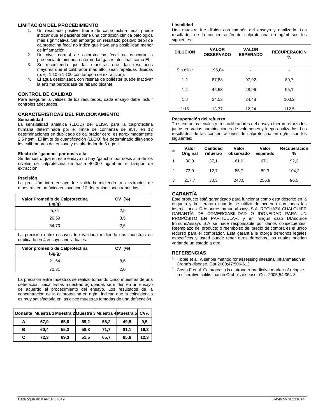#### **LIMITACIÓN DEL PROCEDIMIENTO**

- 1. Un resultado positivo fuerte de calprotectina fecal puede indicar que el paciente tiene una condición clínica patológica más significativa. Sin embargo un resultado positivo débil de calprotectina fecal no indica que haya una posibilidad menor de inflamación.
- 2. Un nivel normal de calprotectina fecal no descarta la presencia de ninguna enfermedad gastrointestinal, como EII.
- 3. Se recomienda que las muestras que dan resultados mayores que el calibrador más alto, sean repetidas diluidas (p. ej. 1:10 o 1:100 con tampón de extracción).
- 4. El agua desionizada con resinas de poliéster puede inactivar la enzima peroxidasa de rábano picante.

#### **CONTROL DE CALIDAD**

Para asegurar la validez de los resultados, cada ensayo debe incluir controles adecuados.

#### **CARACTERÍSTICAS DEL FUNCIONAMIENTO Sensibilidad**

La sensibilidad analítica (LLOD) del ELISA para la calprotectina humana determinada por el límite de confianza de 95% en 12 determinaciones en duplicado de calibrador cero, es aproximadamente 2,5 ng/ml. El límite de cuantificación (LLOQ) fue determinado diluyendo los calibradores del ensayo y es alrededor de 5 ng/ml.

#### **Efecto de "gancho" por dosis alta**

Se demostró que en este ensayo no hay "gancho" por dosis alta de los niveles de calprotectina de hasta 40,000 ng/ml en el tampón de extracción

#### **Precisión**

La precisión intra ensayo fue validada midiendo tres extractos de muestras en un único ensayo con 12 determinaciones repetidas.

| Valor Promedio de Calprotectina<br>$(\mu g/g)$ | CV(%) |
|------------------------------------------------|-------|
| 5.74                                           | 2,9   |
| 26,59                                          | 3,5   |
| 54,70                                          | 2,5   |

La precisión entre ensayos fue validada midiendo dos muestras en duplicado en 4 ensayos individuales.

| Valor promedio de Calprotectina<br>$(\mu q/q)$ | CV(%) |
|------------------------------------------------|-------|
| 21.64                                          | 8.6   |
| 70,31                                          | 2.0   |

La precisión entre muestras se realizó tomando cinco muestras de una defecación única. Estas muestras agrupadas se miden en un ensayo de acuerdo al procedimiento del ensayo. Los resultados de la concentración de la calprotectina en ng/ml indican que la coincidencia es muy satisfactoria en las cinco muestras tomadas de una defecación.

| <b>Donante</b> |      |      |      |      | Muestra 1 Muestra 2 Muestra 3 Muestra 4 Muestra 5 CV% |      |
|----------------|------|------|------|------|-------------------------------------------------------|------|
| А              | 57.0 | 65.0 | 59.2 | 56.2 | 49.8                                                  | 9.5  |
| в              | 60.4 | 55.3 | 58.8 | 71.7 | 81.1                                                  | 16.3 |
| С              | 72,3 | 69.3 | 51,5 | 65.7 | 65.6                                                  | 12,3 |

#### **Linealidad**

Una muestra fue diluida con tampón del ensayo y analizada. Los resultados de la concentración de calprotectina en ng/ml son los siguientes:

| <b>DILUCION</b> | <b>VALOR</b><br><b>OBSERVADO</b> | <b>VALOR</b><br><b>ESPERADO</b> | <b>RECUPERACION</b><br>% |
|-----------------|----------------------------------|---------------------------------|--------------------------|
| Sin diluir      | 195,84                           | -                               |                          |
| 1:2             | 87,88                            | 97,92                           | 89,7                     |
| 1:4             | 46,58                            | 48,96                           | 95,1                     |
| 1:8             | 24,53                            | 24,48                           | 100,2                    |
| 1:16            | 13,77                            | 12,24                           | 112,5                    |

#### **Recuperación del refuerzo**

Tres extractos fecales y tres calibradores del ensayo fueron reforzados juntos en varias combinaciones de volúmenes y luego analizados. Los resultados de las concentraciones de calprotectina en ng/ml son los siguientes:

| # | Valor<br>Original | Cantidad<br>refuerzo | Valor<br>observado | Valor<br>esperado | Recuperación<br>% |
|---|-------------------|----------------------|--------------------|-------------------|-------------------|
|   | 30.0              | 37.1                 | 61,9               | 67.1              | 92,2              |
| 2 | 73.0              | 12.7                 | 85.7               | 89,3              | 104,2             |
| 3 | 217.7             | 30.3                 | 248.0              | 256.9             | 96.5              |

#### **GARANTÍA**

Este producto está garantizado para funcionar como esta descrito en la etiqueta y la literatura cuando se utiliza de acuerdo con todas las instrucciones. DIAsource ImmunoAssays S.A. RECHAZA CUALQUIER GARANTÍA DE COMERCIABILIDAD O IDONEIDAD PARA UN PROPÓSITO EN PARTICULAR, y en ningún caso DIAsource ImmunoAssays S.A se hace responsable por daños consecuentes. Reemplazo del producto o reembolso del precio de compra es el único recurso para el comprador. Esta garantía le otorga derechos legales específicos y usted puede tener otros derechos, los cuales pueden variar de un estado a otro.

#### **REFERENCIAS**

- $1.$  Tibble et al. A simple method for assessing intestinal inflammation in Crohn's disease. Gut.2000;47:506-513
- $2.$  Costa F et al. Calprotectin is a stronger predictive marker of relapse in ulcerative colitis than in Crohn's disease. Gut. 2005;54:364-8.